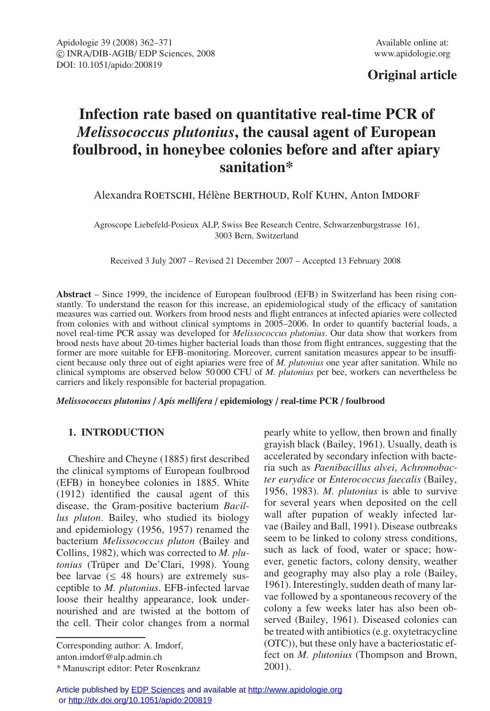## **Original article**

# **Infection rate based on quantitative real-time PCR of** *Melissococcus plutonius***, the causal agent of European foulbrood, in honeybee colonies before and after apiary sanitation\***

## Alexandra ROETSCHI, Hélène BERTHOUD, Rolf KUHN, Anton IMDORF

Agroscope Liebefeld-Posieux ALP, Swiss Bee Research Centre, Schwarzenburgstrasse 161, 3003 Bern, Switzerland

Received 3 July 2007 – Revised 21 December 2007 – Accepted 13 February 2008

**Abstract** – Since 1999, the incidence of European foulbrood (EFB) in Switzerland has been rising constantly. To understand the reason for this increase, an epidemiological study of the efficacy of sanitation measures was carried out. Workers from brood nests and flight entrances at infected apiaries were collected from colonies with and without clinical symptoms in 2005–2006. In order to quantify bacterial loads, a novel real-time PCR assay was developed for *Melissococcus plutonius*. Our data show that workers from brood nests have about 20-times higher bacterial loads than those from flight entrances, suggesting that the former are more suitable for EFB-monitoring. Moreover, current sanitation measures appear to be insufficient because only three out of eight apiaries were free of *M. plutonius* one year after sanitation. While no clinical symptoms are observed below 50 000 CFU of *M. plutonius* per bee, workers can nevertheless be carriers and likely responsible for bacterial propagation.

*Melissococcus plutonius* / *Apis mellifera* / **epidemiology** / **real-time PCR** / **foulbrood**

## **1. INTRODUCTION**

Cheshire and Cheyne (1885) first described the clinical symptoms of European foulbrood (EFB) in honeybee colonies in 1885. White (1912) identified the causal agent of this disease, the Gram-positive bacterium *Bacillus pluton*. Bailey, who studied its biology and epidemiology (1956, 1957) renamed the bacterium *Melissococcus pluton* (Bailey and Collins, 1982), which was corrected to *M. plutonius* (Trüper and De'Clari, 1998). Young bee larvae ( $\leq$  48 hours) are extremely susceptible to *M. plutonius*. EFB-infected larvae loose their healthy appearance, look undernourished and are twisted at the bottom of the cell. Their color changes from a normal

Corresponding author: A. Imdorf, anton.imdorf@alp.admin.ch

\* Manuscript editor: Peter Rosenkranz

pearly white to yellow, then brown and finally grayish black (Bailey, 1961). Usually, death is accelerated by secondary infection with bacteria such as *Paenibacillus alvei*, *Achromobacter eurydice* or *Enterococcus faecalis* (Bailey, 1956, 1983). *M. plutonius* is able to survive for several years when deposited on the cell wall after pupation of weakly infected larvae (Bailey and Ball, 1991). Disease outbreaks seem to be linked to colony stress conditions, such as lack of food, water or space; however, genetic factors, colony density, weather and geography may also play a role (Bailey, 1961). Interestingly, sudden death of many larvae followed by a spontaneous recovery of the colony a few weeks later has also been observed (Bailey, 1961). Diseased colonies can be treated with antibiotics (e.g. oxytetracycline (OTC)), but these only have a bacteriostatic effect on *M. plutonius* (Thompson and Brown, 2001).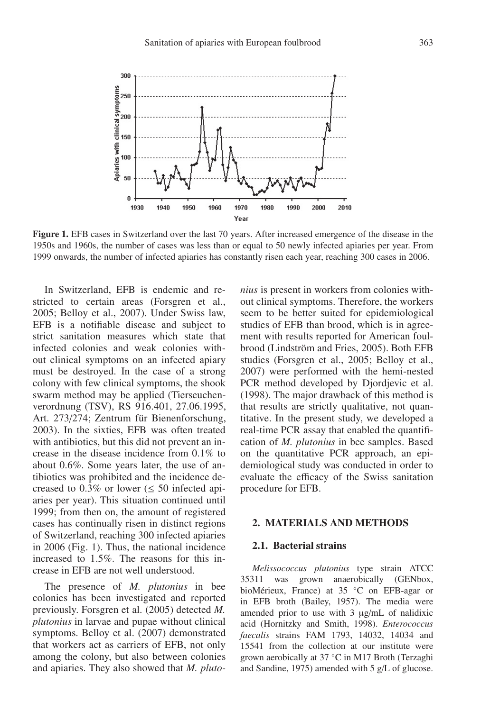

**Figure 1.** EFB cases in Switzerland over the last 70 years. After increased emergence of the disease in the 1950s and 1960s, the number of cases was less than or equal to 50 newly infected apiaries per year. From 1999 onwards, the number of infected apiaries has constantly risen each year, reaching 300 cases in 2006.

In Switzerland, EFB is endemic and restricted to certain areas (Forsgren et al., 2005; Belloy et al., 2007). Under Swiss law, EFB is a notifiable disease and subject to strict sanitation measures which state that infected colonies and weak colonies without clinical symptoms on an infected apiary must be destroyed. In the case of a strong colony with few clinical symptoms, the shook swarm method may be applied (Tierseuchenverordnung (TSV), RS 916.401, 27.06.1995, Art. 273/274; Zentrum für Bienenforschung, 2003). In the sixties, EFB was often treated with antibiotics, but this did not prevent an increase in the disease incidence from 0.1% to about 0.6%. Some years later, the use of antibiotics was prohibited and the incidence decreased to 0.3% or lower ( $\leq$  50 infected apiaries per year). This situation continued until 1999; from then on, the amount of registered cases has continually risen in distinct regions of Switzerland, reaching 300 infected apiaries in 2006 (Fig. 1). Thus, the national incidence increased to 1.5%. The reasons for this increase in EFB are not well understood.

The presence of *M. plutonius* in bee colonies has been investigated and reported previously. Forsgren et al. (2005) detected *M. plutonius* in larvae and pupae without clinical symptoms. Belloy et al. (2007) demonstrated that workers act as carriers of EFB, not only among the colony, but also between colonies and apiaries. They also showed that *M. pluto-* *nius* is present in workers from colonies without clinical symptoms. Therefore, the workers seem to be better suited for epidemiological studies of EFB than brood, which is in agreement with results reported for American foulbrood (Lindström and Fries, 2005). Both EFB studies (Forsgren et al., 2005; Belloy et al., 2007) were performed with the hemi-nested PCR method developed by Djordjevic et al. (1998). The major drawback of this method is that results are strictly qualitative, not quantitative. In the present study, we developed a real-time PCR assay that enabled the quantification of *M. plutonius* in bee samples. Based on the quantitative PCR approach, an epidemiological study was conducted in order to evaluate the efficacy of the Swiss sanitation procedure for EFB.

#### **2. MATERIALS AND METHODS**

#### **2.1. Bacterial strains**

*Melissococcus plutonius* type strain ATCC 35311 was grown anaerobically (GENbox, bioMérieux, France) at 35 ◦C on EFB-agar or in EFB broth (Bailey, 1957). The media were amended prior to use with 3 μg/mL of nalidixic acid (Hornitzky and Smith, 1998). *Enterococcus faecalis* strains FAM 1793, 14032, 14034 and 15541 from the collection at our institute were grown aerobically at 37 ◦C in M17 Broth (Terzaghi and Sandine, 1975) amended with 5 g/L of glucose.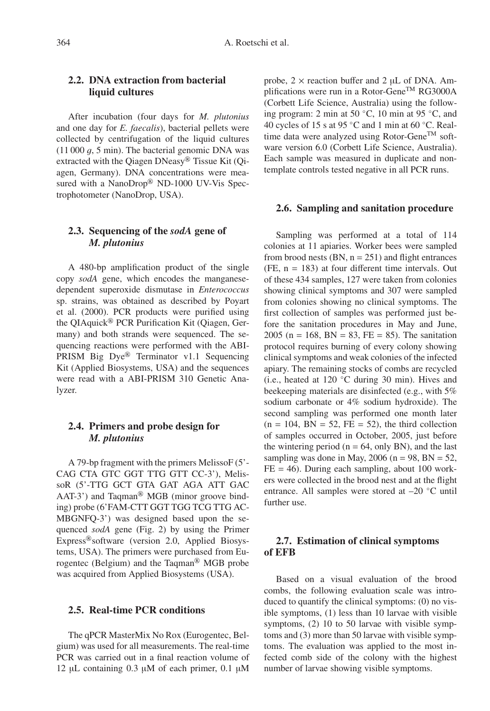## **2.2. DNA extraction from bacterial liquid cultures**

After incubation (four days for *M. plutonius* and one day for *E. faecalis*), bacterial pellets were collected by centrifugation of the liquid cultures  $(11 000 g, 5 min)$ . The bacterial genomic DNA was extracted with the Qiagen DNeasy® Tissue Kit (Qiagen, Germany). DNA concentrations were measured with a NanoDrop® ND-1000 UV-Vis Spectrophotometer (NanoDrop, USA).

## **2.3. Sequencing of the** *sodA* **gene of** *M. plutonius*

A 480-bp amplification product of the single copy *sodA* gene, which encodes the manganesedependent superoxide dismutase in *Enterococcus* sp. strains, was obtained as described by Poyart et al. (2000). PCR products were purified using the QIAquick® PCR Purification Kit (Qiagen, Germany) and both strands were sequenced. The sequencing reactions were performed with the ABI-PRISM Big Dye® Terminator v1.1 Sequencing Kit (Applied Biosystems, USA) and the sequences were read with a ABI-PRISM 310 Genetic Analyzer.

## **2.4. Primers and probe design for** *M. plutonius*

A 79-bp fragment with the primers MelissoF (5'- CAG CTA GTC GGT TTG GTT CC-3'), MelissoR (5'-TTG GCT GTA GAT AGA ATT GAC AAT-3') and Taqman® MGB (minor groove binding) probe (6'FAM-CTT GGT TGG TCG TTG AC-MBGNFQ-3') was designed based upon the sequenced *sodA* gene (Fig. 2) by using the Primer Express®software (version 2.0, Applied Biosystems, USA). The primers were purchased from Eurogentec (Belgium) and the Taqman® MGB probe was acquired from Applied Biosystems (USA).

#### **2.5. Real-time PCR conditions**

The qPCR MasterMix No Rox (Eurogentec, Belgium) was used for all measurements. The real-time PCR was carried out in a final reaction volume of 12 μL containing 0.3 μM of each primer, 0.1 μM

probe,  $2 \times$  reaction buffer and  $2 \mu L$  of DNA. Amplifications were run in a Rotor-Gene<sup>TM</sup> RG3000A (Corbett Life Science, Australia) using the following program: 2 min at 50 ◦C, 10 min at 95 ◦C, and 40 cycles of 15 s at 95 °C and 1 min at 60 °C. Realtime data were analyzed using Rotor-Gene<sup>TM</sup> software version 6.0 (Corbett Life Science, Australia). Each sample was measured in duplicate and nontemplate controls tested negative in all PCR runs.

#### **2.6. Sampling and sanitation procedure**

Sampling was performed at a total of 114 colonies at 11 apiaries. Worker bees were sampled from brood nests  $(BN, n = 251)$  and flight entrances  $(FE, n = 183)$  at four different time intervals. Out of these 434 samples, 127 were taken from colonies showing clinical symptoms and 307 were sampled from colonies showing no clinical symptoms. The first collection of samples was performed just before the sanitation procedures in May and June, 2005 (n = 168, BN = 83, FE = 85). The sanitation protocol requires burning of every colony showing clinical symptoms and weak colonies of the infected apiary. The remaining stocks of combs are recycled (i.e., heated at 120 ◦C during 30 min). Hives and beekeeping materials are disinfected (e.g., with 5% sodium carbonate or 4% sodium hydroxide). The second sampling was performed one month later  $(n = 104, BN = 52, FE = 52)$ , the third collection of samples occurred in October, 2005, just before the wintering period ( $n = 64$ , only BN), and the last sampling was done in May, 2006 ( $n = 98$ , BN = 52,  $FE = 46$ ). During each sampling, about 100 workers were collected in the brood nest and at the flight entrance. All samples were stored at –20 ◦C until further use.

## **2.7. Estimation of clinical symptoms of EFB**

Based on a visual evaluation of the brood combs, the following evaluation scale was introduced to quantify the clinical symptoms: (0) no visible symptoms, (1) less than 10 larvae with visible symptoms, (2) 10 to 50 larvae with visible symptoms and (3) more than 50 larvae with visible symptoms. The evaluation was applied to the most infected comb side of the colony with the highest number of larvae showing visible symptoms.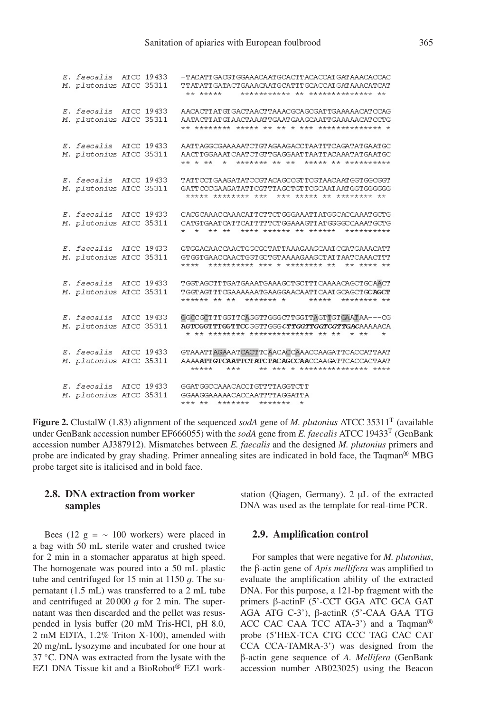```
E. faecalis ATCC 19433
                         - PACAPP CACP COA A ACA APCCA CPP ACACCAP CAPA A ACACCAC
M. plutonius ATCC 35311
                          TTATATTGATACTGAAACAATGCATTTGCACCATGATAAACATCAT
                          *** *****
                                      *********** ** ************* **
E. faecalis ATCC 19433 AACACTTATGTGACTAACTTAAACGCAGCGATTGAAAAACATCCAG
M. plutonius ATCC 35311
                         AATACTTATGTAACTAAATTGAATGAAGCAATTGAAAAACATCCTG
                          E. faecalis ATCC 19433
                         \Delta בהתי אהבה הבה התוכנית המשפח המשפח המשפח המשפח המשפח המשפח המשפח המשפח המשפח המשפח המשפח המשפח המשפח המשפח המשפח המשפח המשפח המשפח המשפח המשפח המשפח המשפח המשפח המשפח המשפח המשפח המשפח המשפח המשפח המשפח המשפח המשפח ה
M. plutonius ATCC 35311 AACTTGGAAATCAATCTGTTGAGGAATTAATTACAAATATGAATGC
                          E. faecalis ATCC 19433
                          TATT CCT GAAGATATCCGT ACAGCCGT TCGTAACAAT GGTGGCGGT
M. plutonius ATCC 35311
                          GATT CCCGAAGATATT CGT TTAGCTGT TCGCAAT AAT GGTGGGGGG
                           E. faecalis ATCC 19433
                         CACGCAAACCAAACATTCTTCTGGGAAATTATGGCACCAAATGCTG
M. plutonius ATCC 35311
                          CATGTGAAT CATTCATTTTTCTGGAAAGTTATGGGCCCAAATGCTG
                          E. faecalis ATCC 19433 GTGGACAACCAACTGGCGCTATTAAAGAAGCAATCGATGAAACATT
M. plutonius ATCC 35311
                          GT GGT GAACCAACT GGT GCT GT AAAAGAAG CT AT TAATCAAACT TT
                          **** ********** *** * ******** **
                                                             ** **** **
E. faecalis ATCC 19433
                          TGGT AGCTTTGATGAAATGAAAGCTGCTTTCAAAACAGCTGCAACT
M. plutonius ATCC 35311
                          TGGTAGTTTOGAAAAAATGAAGGAACAATTCAATGCAGCTGCAGCT
                          ****** ** **
                                       ******* *
                                                     *****
                                                            ******** **
E. faecalis ATCC 19433
                          GGCCGCTTTGGTTCAGGTTGGGCTTGGTTAGTTGTGAATAA---CG
M. plutonius ATCC 35311
                          AGTCGGTTTGGTTCCGGTTGGGCTTGGTTGGTCGTCGTTGACAAAACA
                           * ** ********* ************** ** ** * **
E. faecalis ATCC 19433
                         GTAAATTAGAAATCACTTCAACACCAAACCAAGATTCACCATTAAT
M. plutonius ATCC 35311
                        AAAAATTGTCAATTCTATCTACAGCCAACCAAGATTCACCACTAAT
                                          ** *** * *************** ****
                            *********E. faecalis ATCC 19433 GGATGGCCAAACACCTGTTTTAGGTCTT
                         GGAAGGAAAAACACCAATTTTAGGATTA
M. plutonius ATCC 35311
                          *** ** ******* *******
```
**Figure 2.** ClustalW (1.83) alignment of the sequenced *sodA* gene of *M. plutonius* ATCC 35311T (available under GenBank accession number EF666055) with the *sodA* gene from *E. faecalis* ATCC 19433T (GenBank accession number AJ387912). Mismatches between *E. faecalis* and the designed *M. plutonius* primers and probe are indicated by gray shading. Primer annealing sites are indicated in bold face, the Taqman® MBG probe target site is italicised and in bold face.

## **2.8. DNA extraction from worker samples**

Bees (12 g =  $\sim$  100 workers) were placed in a bag with 50 mL sterile water and crushed twice for 2 min in a stomacher apparatus at high speed. The homogenate was poured into a 50 mL plastic tube and centrifuged for 15 min at 1150  $q$ . The supernatant (1.5 mL) was transferred to a 2 mL tube and centrifuged at  $20000$  g for 2 min. The supernatant was then discarded and the pellet was resuspended in lysis buffer (20 mM Tris-HCl, pH 8.0, 2 mM EDTA, 1.2% Triton X-100), amended with 20 mg/mL lysozyme and incubated for one hour at 37 ◦C. DNA was extracted from the lysate with the EZ1 DNA Tissue kit and a BioRobot® EZ1 work-

station (Qiagen, Germany). 2 μL of the extracted DNA was used as the template for real-time PCR.

#### **2.9. Amplification control**

For samples that were negative for *M. plutonius*, the β-actin gene of *Apis mellifera* was amplified to evaluate the amplification ability of the extracted DNA. For this purpose, a 121-bp fragment with the primers β-actinF (5'-CCT GGA ATC GCA GAT AGA ATG C-3'), β-actinR (5'-CAA GAA TTG ACC CAC CAA TCC ATA-3') and a Taqman<sup>®</sup> probe (5'HEX-TCA CTG CCC TAG CAC CAT CCA CCA-TAMRA-3') was designed from the β-actin gene sequence of *A. Mellifera* (GenBank accession number AB023025) using the Beacon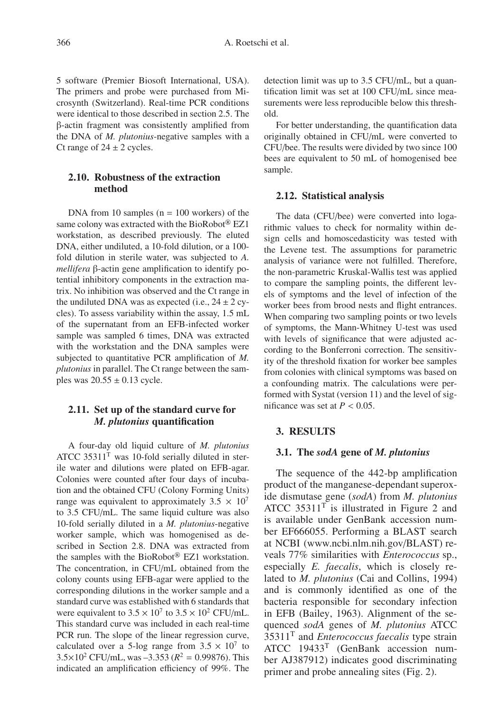5 software (Premier Biosoft International, USA). The primers and probe were purchased from Microsynth (Switzerland). Real-time PCR conditions were identical to those described in section 2.5. The β-actin fragment was consistently amplified from the DNA of *M. plutonius*-negative samples with a Ct range of  $24 \pm 2$  cycles.

## **2.10. Robustness of the extraction method**

DNA from 10 samples  $(n = 100$  workers) of the same colony was extracted with the BioRobot® EZ1 workstation, as described previously. The eluted DNA, either undiluted, a 10-fold dilution, or a 100 fold dilution in sterile water, was subjected to *A. mellifera* β-actin gene amplification to identify potential inhibitory components in the extraction matrix. No inhibition was observed and the Ct range in the undiluted DNA was as expected (i.e.,  $24 \pm 2$  cycles). To assess variability within the assay, 1.5 mL of the supernatant from an EFB-infected worker sample was sampled 6 times, DNA was extracted with the workstation and the DNA samples were subjected to quantitative PCR amplification of *M. plutonius* in parallel. The Ct range between the samples was  $20.55 \pm 0.13$  cycle.

## **2.11. Set up of the standard curve for** *M. plutonius* **quantification**

A four-day old liquid culture of *M. plutonius* ATCC  $35311<sup>T</sup>$  was 10-fold serially diluted in sterile water and dilutions were plated on EFB-agar. Colonies were counted after four days of incubation and the obtained CFU (Colony Forming Units) range was equivalent to approximately  $3.5 \times 10^7$ to 3.5 CFU/mL. The same liquid culture was also 10-fold serially diluted in a *M. plutonius*-negative worker sample, which was homogenised as described in Section 2.8. DNA was extracted from the samples with the BioRobot® EZ1 workstation. The concentration, in CFU/mL obtained from the colony counts using EFB-agar were applied to the corresponding dilutions in the worker sample and a standard curve was established with 6 standards that were equivalent to  $3.5 \times 10^7$  to  $3.5 \times 10^2$  CFU/mL. This standard curve was included in each real-time PCR run. The slope of the linear regression curve, calculated over a 5-log range from  $3.5 \times 10^7$  to  $3.5 \times 10^2$  CFU/mL, was  $-3.353$  ( $R^2 = 0.99876$ ). This indicated an amplification efficiency of 99%. The

detection limit was up to 3.5 CFU/mL, but a quantification limit was set at 100 CFU/mL since measurements were less reproducible below this threshold.

For better understanding, the quantification data originally obtained in CFU/mL were converted to CFU/bee. The results were divided by two since 100 bees are equivalent to 50 mL of homogenised bee sample.

#### **2.12. Statistical analysis**

The data (CFU/bee) were converted into logarithmic values to check for normality within design cells and homoscedasticity was tested with the Levene test. The assumptions for parametric analysis of variance were not fulfilled. Therefore, the non-parametric Kruskal-Wallis test was applied to compare the sampling points, the different levels of symptoms and the level of infection of the worker bees from brood nests and flight entrances. When comparing two sampling points or two levels of symptoms, the Mann-Whitney U-test was used with levels of significance that were adjusted according to the Bonferroni correction. The sensitivity of the threshold fixation for worker bee samples from colonies with clinical symptoms was based on a confounding matrix. The calculations were performed with Systat (version 11) and the level of significance was set at  $P < 0.05$ .

### **3. RESULTS**

#### **3.1. The** *sodA* **gene of** *M. plutonius*

The sequence of the 442-bp amplification product of the manganese-dependant superoxide dismutase gene (*sodA*) from *M. plutonius* ATCC 35311<sup>T</sup> is illustrated in Figure 2 and is available under GenBank accession number EF666055. Performing a BLAST search at NCBI (www.ncbi.nlm.nih.gov/BLAST) reveals 77% similarities with *Enterococcus* sp., especially *E. faecalis*, which is closely related to *M. plutonius* (Cai and Collins, 1994) and is commonly identified as one of the bacteria responsible for secondary infection in EFB (Bailey, 1963). Alignment of the sequenced *sodA* genes of *M. plutonius* ATCC 35311<sup>T</sup> and *Enterococcus faecalis* type strain ATCC 19433<sup>T</sup> (GenBank accession number AJ387912) indicates good discriminating primer and probe annealing sites (Fig. 2).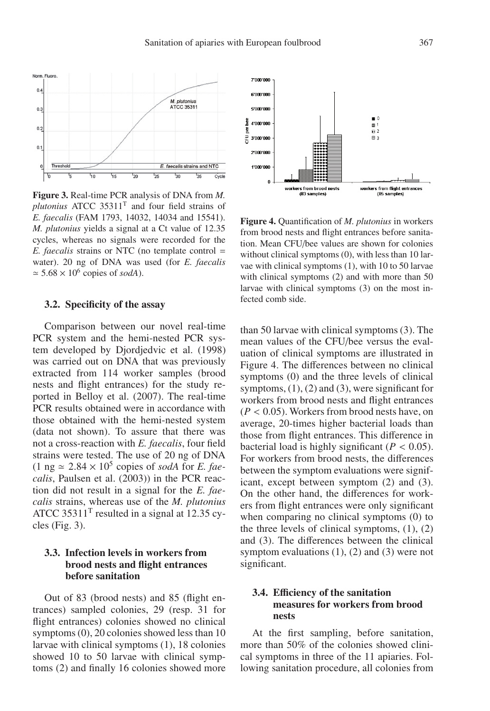

**Figure 3.** Real-time PCR analysis of DNA from *M. plutonius* ATCC 35311<sup>T</sup> and four field strains of *E. faecalis* (FAM 1793, 14032, 14034 and 15541). *M. plutonius* yields a signal at a Ct value of 12.35 cycles, whereas no signals were recorded for the *E. faecalis* strains or NTC (no template control = water). 20 ng of DNA was used (for *E. faecalis*  $\simeq$  5.68  $\times$  10<sup>6</sup> copies of *sodA*).

#### **3.2. Specificity of the assay**

Comparison between our novel real-time PCR system and the hemi-nested PCR system developed by Djordjedvic et al. (1998) was carried out on DNA that was previously extracted from 114 worker samples (brood nests and flight entrances) for the study reported in Belloy et al. (2007). The real-time PCR results obtained were in accordance with those obtained with the hemi-nested system (data not shown). To assure that there was not a cross-reaction with *E. faecalis*, four field strains were tested. The use of 20 ng of DNA  $(1 \text{ ng } \simeq 2.84 \times 10^5 \text{ copies of } *sodA* \text{ for } *E*.$  *faecalis*, Paulsen et al. (2003)) in the PCR reaction did not result in a signal for the *E. faecalis* strains, whereas use of the *M. plutonius* ATCC 35311<sup>T</sup> resulted in a signal at 12.35 cycles (Fig. 3).

## **3.3. Infection levels in workers from brood nests and flight entrances before sanitation**

Out of 83 (brood nests) and 85 (flight entrances) sampled colonies, 29 (resp. 31 for flight entrances) colonies showed no clinical symptoms (0), 20 colonies showed less than 10 larvae with clinical symptoms (1), 18 colonies showed 10 to 50 larvae with clinical symptoms (2) and finally 16 colonies showed more



**Figure 4.** Quantification of *M. plutonius* in workers from brood nests and flight entrances before sanitation. Mean CFU/bee values are shown for colonies without clinical symptoms (0), with less than 10 larvae with clinical symptoms (1), with 10 to 50 larvae with clinical symptoms (2) and with more than 50 larvae with clinical symptoms (3) on the most infected comb side.

than 50 larvae with clinical symptoms (3). The mean values of the CFU/bee versus the evaluation of clinical symptoms are illustrated in Figure 4. The differences between no clinical symptoms (0) and the three levels of clinical symptoms,  $(1)$ ,  $(2)$  and  $(3)$ , were significant for workers from brood nests and flight entrances (*<sup>P</sup>* < <sup>0</sup>.05). Workers from brood nests have, on average, 20-times higher bacterial loads than those from flight entrances. This difference in bacterial load is highly significant  $(P < 0.05)$ . For workers from brood nests, the differences between the symptom evaluations were significant, except between symptom (2) and (3). On the other hand, the differences for workers from flight entrances were only significant when comparing no clinical symptoms  $(0)$  to the three levels of clinical symptoms,  $(1)$ ,  $(2)$ and (3). The differences between the clinical symptom evaluations  $(1)$ ,  $(2)$  and  $(3)$  were not significant.

## **3.4. E**ffi**ciency of the sanitation measures for workers from brood nests**

At the first sampling, before sanitation, more than 50% of the colonies showed clinical symptoms in three of the 11 apiaries. Following sanitation procedure, all colonies from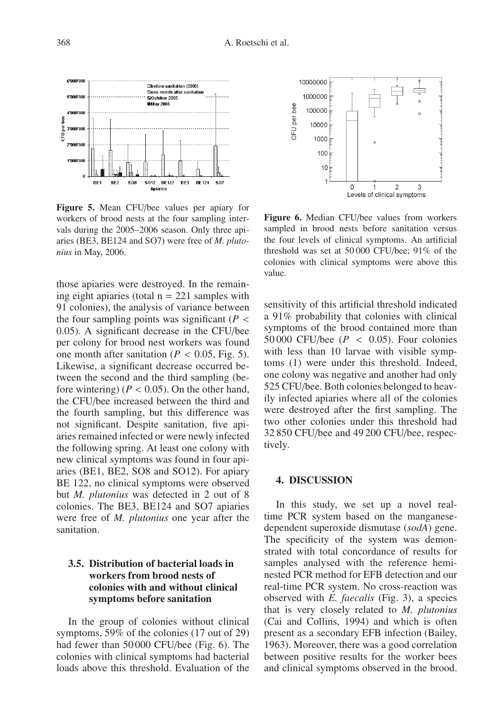

**Figure 5.** Mean CFU/bee values per apiary for workers of brood nests at the four sampling intervals during the 2005–2006 season. Only three apiaries (BE3, BE124 and SO7) were free of *M. plutonius* in May, 2006.

those apiaries were destroyed. In the remaining eight apiaries (total  $n = 221$  samples with 91 colonies), the analysis of variance between the four sampling points was significant  $(P <$ <sup>0</sup>.05). A significant decrease in the CFU/bee per colony for brood nest workers was found one month after sanitation ( $P < 0.05$ , Fig. 5). Likewise, a significant decrease occurred between the second and the third sampling (before wintering)  $(P < 0.05)$ . On the other hand, the CFU/bee increased between the third and the fourth sampling, but this difference was not significant. Despite sanitation, five apiaries remained infected or were newly infected the following spring. At least one colony with new clinical symptoms was found in four apiaries (BE1, BE2, SO8 and SO12). For apiary BE 122, no clinical symptoms were observed but *M. plutonius* was detected in 2 out of 8 colonies. The BE3, BE124 and SO7 apiaries were free of *M. plutonius* one year after the sanitation.

## **3.5. Distribution of bacterial loads in workers from brood nests of colonies with and without clinical symptoms before sanitation**

In the group of colonies without clinical symptoms, 59% of the colonies (17 out of 29) had fewer than 50 000 CFU/bee (Fig. 6). The colonies with clinical symptoms had bacterial loads above this threshold. Evaluation of the



**Figure 6.** Median CFU/bee values from workers sampled in brood nests before sanitation versus the four levels of clinical symptoms. An artificial threshold was set at 50 000 CFU/bee; 91% of the colonies with clinical symptoms were above this value.

sensitivity of this artificial threshold indicated a 91% probability that colonies with clinical symptoms of the brood contained more than 50 000 CFU/bee ( $P < 0.05$ ). Four colonies with less than 10 larvae with visible symptoms (1) were under this threshold. Indeed, one colony was negative and another had only 525 CFU/bee. Both colonies belonged to heavily infected apiaries where all of the colonies were destroyed after the first sampling. The two other colonies under this threshold had 32 850 CFU/bee and 49 200 CFU/bee, respectively.

#### **4. DISCUSSION**

In this study, we set up a novel realtime PCR system based on the manganesedependent superoxide dismutase (*sodA*) gene. The specificity of the system was demonstrated with total concordance of results for samples analysed with the reference heminested PCR method for EFB detection and our real-time PCR system. No cross-reaction was observed with *E. faecalis* (Fig. 3), a species that is very closely related to *M. plutonius* (Cai and Collins, 1994) and which is often present as a secondary EFB infection (Bailey, 1963). Moreover, there was a good correlation between positive results for the worker bees and clinical symptoms observed in the brood.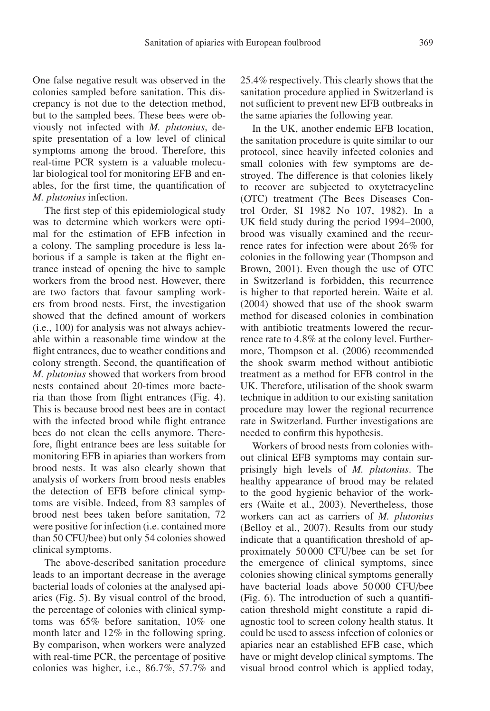One false negative result was observed in the colonies sampled before sanitation. This discrepancy is not due to the detection method, but to the sampled bees. These bees were obviously not infected with *M. plutonius*, despite presentation of a low level of clinical symptoms among the brood. Therefore, this real-time PCR system is a valuable molecular biological tool for monitoring EFB and enables, for the first time, the quantification of *M. plutonius* infection.

The first step of this epidemiological study was to determine which workers were optimal for the estimation of EFB infection in a colony. The sampling procedure is less laborious if a sample is taken at the flight entrance instead of opening the hive to sample workers from the brood nest. However, there are two factors that favour sampling workers from brood nests. First, the investigation showed that the defined amount of workers (i.e., 100) for analysis was not always achievable within a reasonable time window at the flight entrances, due to weather conditions and colony strength. Second, the quantification of *M. plutonius* showed that workers from brood nests contained about 20-times more bacteria than those from flight entrances (Fig. 4). This is because brood nest bees are in contact with the infected brood while flight entrance bees do not clean the cells anymore. Therefore, flight entrance bees are less suitable for monitoring EFB in apiaries than workers from brood nests. It was also clearly shown that analysis of workers from brood nests enables the detection of EFB before clinical symptoms are visible. Indeed, from 83 samples of brood nest bees taken before sanitation, 72 were positive for infection (i.e. contained more than 50 CFU/bee) but only 54 colonies showed clinical symptoms.

The above-described sanitation procedure leads to an important decrease in the average bacterial loads of colonies at the analysed apiaries (Fig. 5). By visual control of the brood, the percentage of colonies with clinical symptoms was 65% before sanitation, 10% one month later and 12% in the following spring. By comparison, when workers were analyzed with real-time PCR, the percentage of positive colonies was higher, i.e., 86.7%, 57.7% and 25.4% respectively. This clearly shows that the sanitation procedure applied in Switzerland is not sufficient to prevent new EFB outbreaks in the same apiaries the following year.

In the UK, another endemic EFB location, the sanitation procedure is quite similar to our protocol, since heavily infected colonies and small colonies with few symptoms are destroyed. The difference is that colonies likely to recover are subjected to oxytetracycline (OTC) treatment (The Bees Diseases Control Order, SI 1982 No 107, 1982). In a UK field study during the period 1994–2000, brood was visually examined and the recurrence rates for infection were about 26% for colonies in the following year (Thompson and Brown, 2001). Even though the use of OTC in Switzerland is forbidden, this recurrence is higher to that reported herein. Waite et al. (2004) showed that use of the shook swarm method for diseased colonies in combination with antibiotic treatments lowered the recurrence rate to 4.8% at the colony level. Furthermore, Thompson et al. (2006) recommended the shook swarm method without antibiotic treatment as a method for EFB control in the UK. Therefore, utilisation of the shook swarm technique in addition to our existing sanitation procedure may lower the regional recurrence rate in Switzerland. Further investigations are needed to confirm this hypothesis.

Workers of brood nests from colonies without clinical EFB symptoms may contain surprisingly high levels of *M. plutonius*. The healthy appearance of brood may be related to the good hygienic behavior of the workers (Waite et al., 2003). Nevertheless, those workers can act as carriers of *M. plutonius* (Belloy et al., 2007). Results from our study indicate that a quantification threshold of approximately 50 000 CFU/bee can be set for the emergence of clinical symptoms, since colonies showing clinical symptoms generally have bacterial loads above 50 000 CFU/bee (Fig. 6). The introduction of such a quantification threshold might constitute a rapid diagnostic tool to screen colony health status. It could be used to assess infection of colonies or apiaries near an established EFB case, which have or might develop clinical symptoms. The visual brood control which is applied today,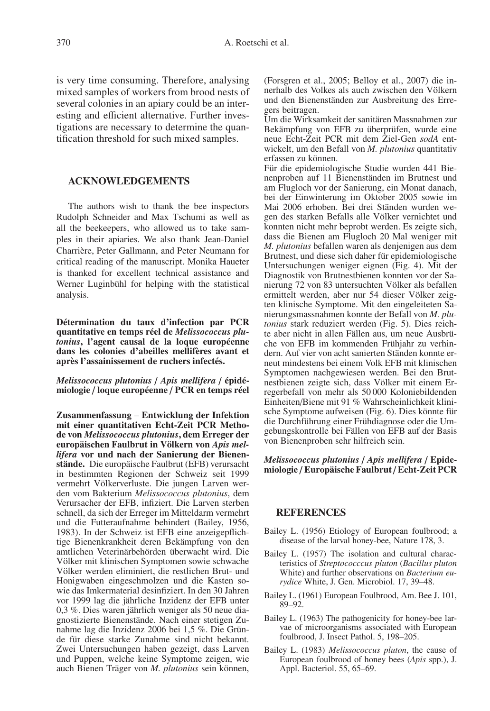is very time consuming. Therefore, analysing mixed samples of workers from brood nests of several colonies in an apiary could be an interesting and efficient alternative. Further investigations are necessary to determine the quantification threshold for such mixed samples.

#### **ACKNOWLEDGEMENTS**

The authors wish to thank the bee inspectors Rudolph Schneider and Max Tschumi as well as all the beekeepers, who allowed us to take samples in their apiaries. We also thank Jean-Daniel Charrière, Peter Gallmann, and Peter Neumann for critical reading of the manuscript. Monika Haueter is thanked for excellent technical assistance and Werner Luginbühl for helping with the statistical analysis.

**Détermination du taux d'infection par PCR quantitative en temps réel de** *Melissococcus plutonius***, l'agent causal de la loque européenne dans les colonies d'abeilles mellifères avant et après l'assainissement de ruchers infectés.**

*Melissococcus plutonius* / *Apis mellifera* / **épidémiologie** / **loque européenne** / **PCR en temps réel**

**Zusammenfassung** – **Entwicklung der Infektion mit einer quantitativen Echt-Zeit PCR Methode von** *Melissococcus plutonius***, dem Erreger der europäischen Faulbrut in Völkern von** *Apis mellifera* **vor und nach der Sanierung der Bienenstände.** Die europäische Faulbrut (EFB) verursacht in bestimmten Regionen der Schweiz seit 1999 vermehrt Völkerverluste. Die jungen Larven werden vom Bakterium *Melissococcus plutonius*, dem Verursacher der EFB, infiziert. Die Larven sterben schnell, da sich der Erreger im Mitteldarm vermehrt und die Futteraufnahme behindert (Bailey, 1956, 1983). In der Schweiz ist EFB eine anzeigepflichtige Bienenkrankheit deren Bekämpfung von den amtlichen Veterinärbehörden überwacht wird. Die Völker mit klinischen Symptomen sowie schwache Völker werden eliminiert, die restlichen Brut- und Honigwaben eingeschmolzen und die Kasten sowie das Imkermaterial desinfiziert. In den 30 Jahren vor 1999 lag die jährliche Inzidenz der EFB unter 0,3 %. Dies waren jährlich weniger als 50 neue diagnostizierte Bienenstände. Nach einer stetigen Zunahme lag die Inzidenz 2006 bei 1,5 %. Die Gründe für diese starke Zunahme sind nicht bekannt. Zwei Untersuchungen haben gezeigt, dass Larven und Puppen, welche keine Symptome zeigen, wie auch Bienen Träger von *M. plutonius* sein können,

(Forsgren et al., 2005; Belloy et al., 2007) die innerhalb des Volkes als auch zwischen den Völkern und den Bienenständen zur Ausbreitung des Erregers beitragen.

Um die Wirksamkeit der sanitären Massnahmen zur Bekämpfung von EFB zu überprüfen, wurde eine neue Echt-Zeit PCR mit dem Ziel-Gen *sodA* entwickelt, um den Befall von *M. plutonius* quantitativ erfassen zu können.

Für die epidemiologische Studie wurden 441 Bienenproben auf 11 Bienenständen im Brutnest und am Flugloch vor der Sanierung, ein Monat danach, bei der Einwinterung im Oktober 2005 sowie im Mai 2006 erhoben. Bei drei Ständen wurden wegen des starken Befalls alle Völker vernichtet und konnten nicht mehr beprobt werden. Es zeigte sich, dass die Bienen am Flugloch 20 Mal weniger mit *M. plutonius* befallen waren als denjenigen aus dem Brutnest, und diese sich daher für epidemiologische Untersuchungen weniger eignen (Fig. 4). Mit der Diagnostik von Brutnestbienen konnten vor der Sanierung 72 von 83 untersuchten Völker als befallen ermittelt werden, aber nur 54 dieser Völker zeigten klinische Symptome. Mit den eingeleiteten Sanierungsmassnahmen konnte der Befall von *M. plutonius* stark reduziert werden (Fig. 5). Dies reichte aber nicht in allen Fällen aus, um neue Ausbrüche von EFB im kommenden Frühjahr zu verhindern. Auf vier von acht sanierten Ständen konnte erneut mindestens bei einem Volk EFB mit klinischen Symptomen nachgewiesen werden. Bei den Brutnestbienen zeigte sich, dass Völker mit einem Erregerbefall von mehr als 50 000 Koloniebildenden Einheiten/Biene mit 91 % Wahrscheinlichkeit klinische Symptome aufweisen (Fig. 6). Dies könnte für die Durchführung einer Frühdiagnose oder die Umgebungskontrolle bei Fällen von EFB auf der Basis von Bienenproben sehr hilfreich sein.

#### *Melissococcus plutonius* / *Apis mellifera* / **Epidemiologie** / **Europäische Faulbrut** / **Echt-Zeit PCR**

#### **REFERENCES**

- Bailey L. (1956) Etiology of European foulbrood; a disease of the larval honey-bee, Nature 178, 3.
- Bailey L. (1957) The isolation and cultural characteristics of *Streptococccus pluton* (*Bacillus pluton* White) and further observations on *Bacterium eurydice* White, J. Gen. Microbiol. 17, 39–48.
- Bailey L. (1961) European Foulbrood, Am. Bee J. 101, 89–92.
- Bailey L. (1963) The pathogenicity for honey-bee larvae of microorganisms associated with European foulbrood, J. Insect Pathol. 5, 198–205.
- Bailey L. (1983) *Melissococcus pluton*, the cause of European foulbrood of honey bees (*Apis* spp.), J. Appl. Bacteriol. 55, 65–69.